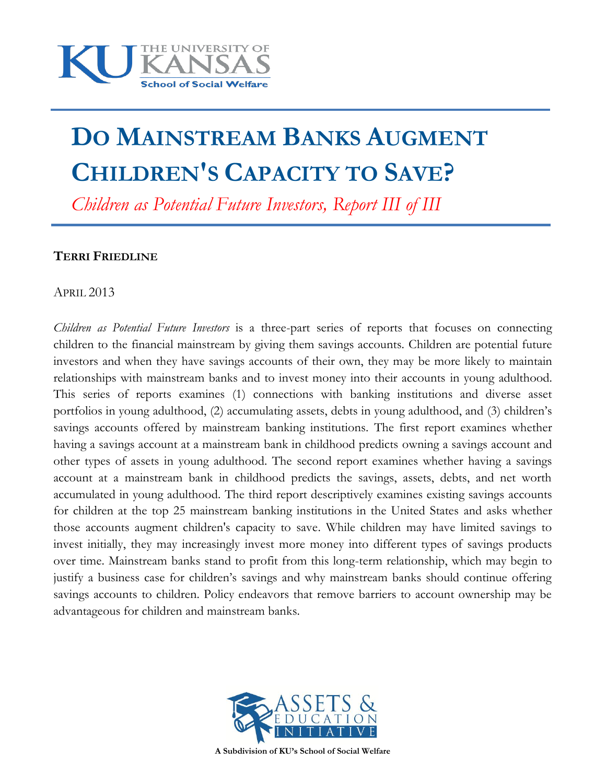

# **DO MAINSTREAM BANKS AUGMENT CHILDREN'S CAPACITY TO SAVE?**

*Children as Potential Future Investors, Report III of III*

#### **TERRI FRIEDLINE**

APRIL 2013

*Children as Potential Future Investors* is a three-part series of reports that focuses on connecting children to the financial mainstream by giving them savings accounts. Children are potential future investors and when they have savings accounts of their own, they may be more likely to maintain relationships with mainstream banks and to invest money into their accounts in young adulthood. This series of reports examines (1) connections with banking institutions and diverse asset portfolios in young adulthood, (2) accumulating assets, debts in young adulthood, and (3) children's savings accounts offered by mainstream banking institutions. The first report examines whether having a savings account at a mainstream bank in childhood predicts owning a savings account and other types of assets in young adulthood. The second report examines whether having a savings account at a mainstream bank in childhood predicts the savings, assets, debts, and net worth accumulated in young adulthood. The third report descriptively examines existing savings accounts for children at the top 25 mainstream banking institutions in the United States and asks whether those accounts augment children's capacity to save. While children may have limited savings to invest initially, they may increasingly invest more money into different types of savings products over time. Mainstream banks stand to profit from this long-term relationship, which may begin to justify a business case for children's savings and why mainstream banks should continue offering savings accounts to children. Policy endeavors that remove barriers to account ownership may be advantageous for children and mainstream banks.



**A Subdivision of KU's School of Social Welfare**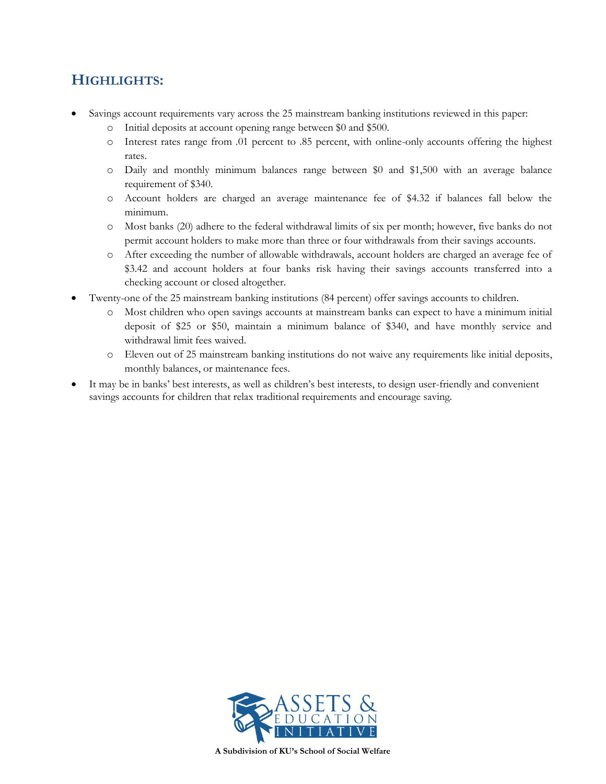## **HIGHLIGHTS:**

- Savings account requirements vary across the 25 mainstream banking institutions reviewed in this paper:
	- o Initial deposits at account opening range between \$0 and \$500.
	- o Interest rates range from .01 percent to .85 percent, with online-only accounts offering the highest rates.
	- o Daily and monthly minimum balances range between \$0 and \$1,500 with an average balance requirement of \$340.
	- o Account holders are charged an average maintenance fee of \$4.32 if balances fall below the minimum.
	- o Most banks (20) adhere to the federal withdrawal limits of six per month; however, five banks do not permit account holders to make more than three or four withdrawals from their savings accounts.
	- o After exceeding the number of allowable withdrawals, account holders are charged an average fee of \$3.42 and account holders at four banks risk having their savings accounts transferred into a checking account or closed altogether.
- Twenty-one of the 25 mainstream banking institutions (84 percent) offer savings accounts to children.
	- o Most children who open savings accounts at mainstream banks can expect to have a minimum initial deposit of \$25 or \$50, maintain a minimum balance of \$340, and have monthly service and withdrawal limit fees waived.
	- o Eleven out of 25 mainstream banking institutions do not waive any requirements like initial deposits, monthly balances, or maintenance fees.
- It may be in banks' best interests, as well as children's best interests, to design user-friendly and convenient savings accounts for children that relax traditional requirements and encourage saving.



**A Subdivision of KU's School of Social Welfare**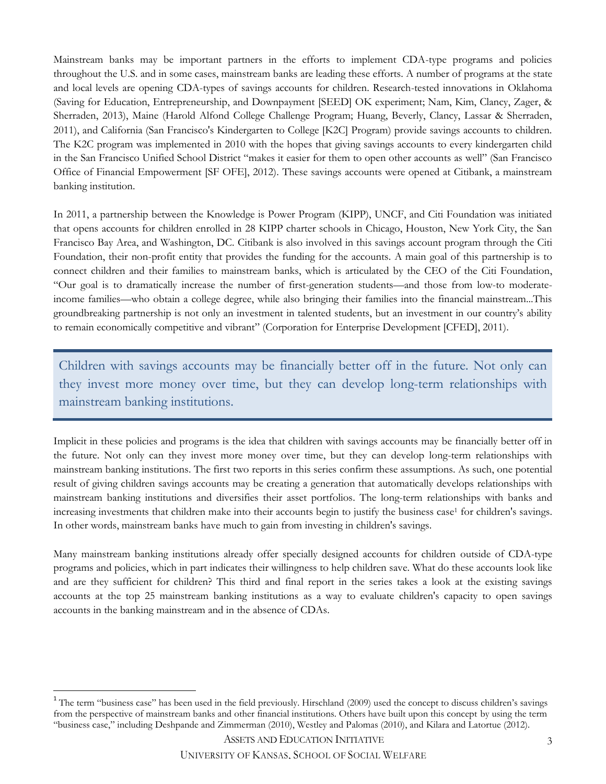Mainstream banks may be important partners in the efforts to implement CDA-type programs and policies throughout the U.S. and in some cases, mainstream banks are leading these efforts. A number of programs at the state and local levels are opening CDA-types of savings accounts for children. Research-tested innovations in Oklahoma (Saving for Education, Entrepreneurship, and Downpayment [SEED] OK experiment; Nam, Kim, Clancy, Zager, & Sherraden, 2013), Maine (Harold Alfond College Challenge Program; Huang, Beverly, Clancy, Lassar & Sherraden, 2011), and California (San Francisco's Kindergarten to College [K2C] Program) provide savings accounts to children. The K2C program was implemented in 2010 with the hopes that giving savings accounts to every kindergarten child in the San Francisco Unified School District "makes it easier for them to open other accounts as well" (San Francisco Office of Financial Empowerment [SF OFE], 2012). These savings accounts were opened at Citibank, a mainstream banking institution.

In 2011, a partnership between the Knowledge is Power Program (KIPP), UNCF, and Citi Foundation was initiated that opens accounts for children enrolled in 28 KIPP charter schools in Chicago, Houston, New York City, the San Francisco Bay Area, and Washington, DC. Citibank is also involved in this savings account program through the Citi Foundation, their non-profit entity that provides the funding for the accounts. A main goal of this partnership is to connect children and their families to mainstream banks, which is articulated by the CEO of the Citi Foundation, "Our goal is to dramatically increase the number of first-generation students—and those from low-to moderateincome families—who obtain a college degree, while also bringing their families into the financial mainstream...This groundbreaking partnership is not only an investment in talented students, but an investment in our country's ability to remain economically competitive and vibrant" (Corporation for Enterprise Development [CFED], 2011).

Children with savings accounts may be financially better off in the future. Not only can they invest more money over time, but they can develop long-term relationships with mainstream banking institutions.

Implicit in these policies and programs is the idea that children with savings accounts may be financially better off in the future. Not only can they invest more money over time, but they can develop long-term relationships with mainstream banking institutions. The first two reports in this series confirm these assumptions. As such, one potential result of giving children savings accounts may be creating a generation that automatically develops relationships with mainstream banking institutions and diversifies their asset portfolios. The long-term relationships with banks and increasing investments that children make into their accounts begin to justify the business case<sup>1</sup> for children's savings. In other words, mainstream banks have much to gain from investing in children's savings.

Many mainstream banking institutions already offer specially designed accounts for children outside of CDA-type programs and policies, which in part indicates their willingness to help children save. What do these accounts look like and are they sufficient for children? This third and final report in the series takes a look at the existing savings accounts at the top 25 mainstream banking institutions as a way to evaluate children's capacity to open savings accounts in the banking mainstream and in the absence of CDAs.

 $\overline{\phantom{a}}$ 

<sup>&</sup>lt;sup>1</sup> The term "business case" has been used in the field previously. Hirschland (2009) used the concept to discuss children's savings from the perspective of mainstream banks and other financial institutions. Others have built upon this concept by using the term "business case," including Deshpande and Zimmerman (2010), Westley and Palomas (2010), and Kilara and Latortue (2012).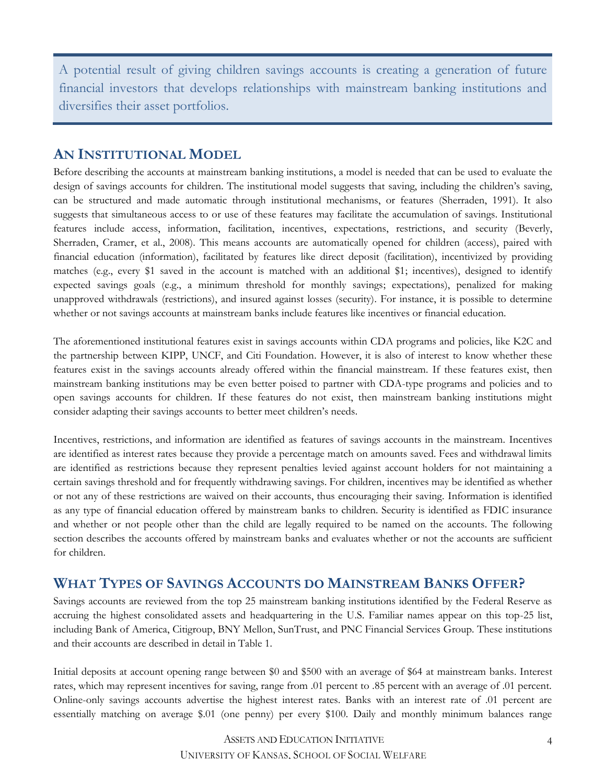A potential result of giving children savings accounts is creating a generation of future financial investors that develops relationships with mainstream banking institutions and diversifies their asset portfolios.

#### **AN INSTITUTIONAL MODEL**

Before describing the accounts at mainstream banking institutions, a model is needed that can be used to evaluate the design of savings accounts for children. The institutional model suggests that saving, including the children's saving, can be structured and made automatic through institutional mechanisms, or features (Sherraden, 1991). It also suggests that simultaneous access to or use of these features may facilitate the accumulation of savings. Institutional features include access, information, facilitation, incentives, expectations, restrictions, and security (Beverly, Sherraden, Cramer, et al., 2008). This means accounts are automatically opened for children (access), paired with financial education (information), facilitated by features like direct deposit (facilitation), incentivized by providing matches (e.g., every \$1 saved in the account is matched with an additional \$1; incentives), designed to identify expected savings goals (e.g., a minimum threshold for monthly savings; expectations), penalized for making unapproved withdrawals (restrictions), and insured against losses (security). For instance, it is possible to determine whether or not savings accounts at mainstream banks include features like incentives or financial education.

The aforementioned institutional features exist in savings accounts within CDA programs and policies, like K2C and the partnership between KIPP, UNCF, and Citi Foundation. However, it is also of interest to know whether these features exist in the savings accounts already offered within the financial mainstream. If these features exist, then mainstream banking institutions may be even better poised to partner with CDA-type programs and policies and to open savings accounts for children. If these features do not exist, then mainstream banking institutions might consider adapting their savings accounts to better meet children's needs.

Incentives, restrictions, and information are identified as features of savings accounts in the mainstream. Incentives are identified as interest rates because they provide a percentage match on amounts saved. Fees and withdrawal limits are identified as restrictions because they represent penalties levied against account holders for not maintaining a certain savings threshold and for frequently withdrawing savings. For children, incentives may be identified as whether or not any of these restrictions are waived on their accounts, thus encouraging their saving. Information is identified as any type of financial education offered by mainstream banks to children. Security is identified as FDIC insurance and whether or not people other than the child are legally required to be named on the accounts. The following section describes the accounts offered by mainstream banks and evaluates whether or not the accounts are sufficient for children.

## **WHAT TYPES OF SAVINGS ACCOUNTS DO MAINSTREAM BANKS OFFER?**

Savings accounts are reviewed from the top 25 mainstream banking institutions identified by the Federal Reserve as accruing the highest consolidated assets and headquartering in the U.S. Familiar names appear on this top-25 list, including Bank of America, Citigroup, BNY Mellon, SunTrust, and PNC Financial Services Group. These institutions and their accounts are described in detail in Table 1.

Initial deposits at account opening range between \$0 and \$500 with an average of \$64 at mainstream banks. Interest rates, which may represent incentives for saving, range from .01 percent to .85 percent with an average of .01 percent. Online-only savings accounts advertise the highest interest rates. Banks with an interest rate of .01 percent are essentially matching on average \$.01 (one penny) per every \$100. Daily and monthly minimum balances range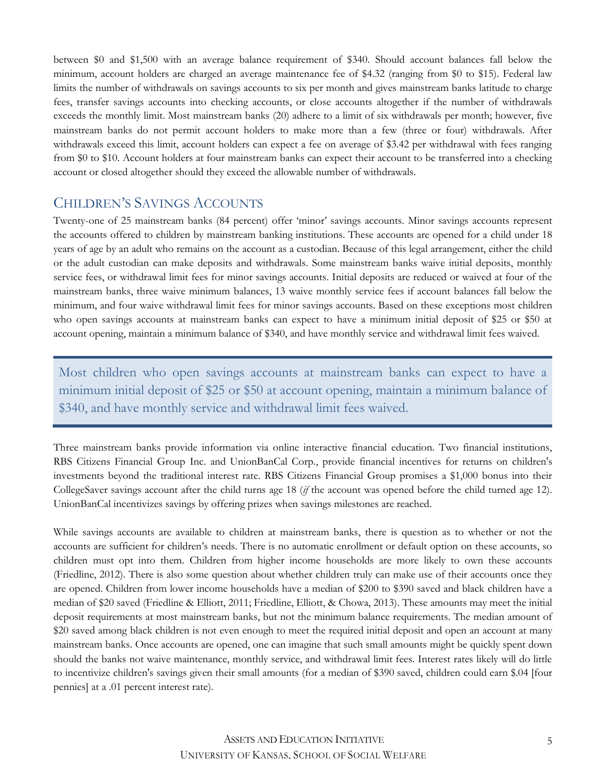between \$0 and \$1,500 with an average balance requirement of \$340. Should account balances fall below the minimum, account holders are charged an average maintenance fee of \$4.32 (ranging from \$0 to \$15). Federal law limits the number of withdrawals on savings accounts to six per month and gives mainstream banks latitude to charge fees, transfer savings accounts into checking accounts, or close accounts altogether if the number of withdrawals exceeds the monthly limit. Most mainstream banks (20) adhere to a limit of six withdrawals per month; however, five mainstream banks do not permit account holders to make more than a few (three or four) withdrawals. After withdrawals exceed this limit, account holders can expect a fee on average of \$3.42 per withdrawal with fees ranging from \$0 to \$10. Account holders at four mainstream banks can expect their account to be transferred into a checking account or closed altogether should they exceed the allowable number of withdrawals.

#### CHILDREN'S SAVINGS ACCOUNTS

Twenty-one of 25 mainstream banks (84 percent) offer 'minor' savings accounts. Minor savings accounts represent the accounts offered to children by mainstream banking institutions. These accounts are opened for a child under 18 years of age by an adult who remains on the account as a custodian. Because of this legal arrangement, either the child or the adult custodian can make deposits and withdrawals. Some mainstream banks waive initial deposits, monthly service fees, or withdrawal limit fees for minor savings accounts. Initial deposits are reduced or waived at four of the mainstream banks, three waive minimum balances, 13 waive monthly service fees if account balances fall below the minimum, and four waive withdrawal limit fees for minor savings accounts. Based on these exceptions most children who open savings accounts at mainstream banks can expect to have a minimum initial deposit of \$25 or \$50 at account opening, maintain a minimum balance of \$340, and have monthly service and withdrawal limit fees waived.

Most children who open savings accounts at mainstream banks can expect to have a minimum initial deposit of \$25 or \$50 at account opening, maintain a minimum balance of \$340, and have monthly service and withdrawal limit fees waived.

Three mainstream banks provide information via online interactive financial education. Two financial institutions, RBS Citizens Financial Group Inc. and UnionBanCal Corp., provide financial incentives for returns on children's investments beyond the traditional interest rate. RBS Citizens Financial Group promises a \$1,000 bonus into their CollegeSaver savings account after the child turns age 18 (*if* the account was opened before the child turned age 12). UnionBanCal incentivizes savings by offering prizes when savings milestones are reached.

While savings accounts are available to children at mainstream banks, there is question as to whether or not the accounts are sufficient for children's needs. There is no automatic enrollment or default option on these accounts, so children must opt into them. Children from higher income households are more likely to own these accounts (Friedline, 2012). There is also some question about whether children truly can make use of their accounts once they are opened. Children from lower income households have a median of \$200 to \$390 saved and black children have a median of \$20 saved (Friedline & Elliott, 2011; Friedline, Elliott, & Chowa, 2013). These amounts may meet the initial deposit requirements at most mainstream banks, but not the minimum balance requirements. The median amount of \$20 saved among black children is not even enough to meet the required initial deposit and open an account at many mainstream banks. Once accounts are opened, one can imagine that such small amounts might be quickly spent down should the banks not waive maintenance, monthly service, and withdrawal limit fees. Interest rates likely will do little to incentivize children's savings given their small amounts (for a median of \$390 saved, children could earn \$.04 [four pennies] at a .01 percent interest rate).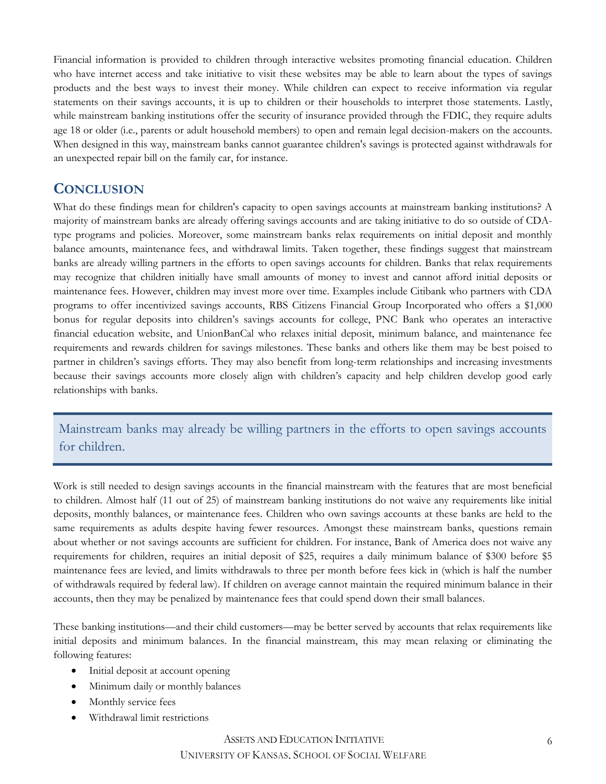Financial information is provided to children through interactive websites promoting financial education. Children who have internet access and take initiative to visit these websites may be able to learn about the types of savings products and the best ways to invest their money. While children can expect to receive information via regular statements on their savings accounts, it is up to children or their households to interpret those statements. Lastly, while mainstream banking institutions offer the security of insurance provided through the FDIC, they require adults age 18 or older (i.e., parents or adult household members) to open and remain legal decision-makers on the accounts. When designed in this way, mainstream banks cannot guarantee children's savings is protected against withdrawals for an unexpected repair bill on the family car, for instance.

### **CONCLUSION**

What do these findings mean for children's capacity to open savings accounts at mainstream banking institutions? A majority of mainstream banks are already offering savings accounts and are taking initiative to do so outside of CDAtype programs and policies. Moreover, some mainstream banks relax requirements on initial deposit and monthly balance amounts, maintenance fees, and withdrawal limits. Taken together, these findings suggest that mainstream banks are already willing partners in the efforts to open savings accounts for children. Banks that relax requirements may recognize that children initially have small amounts of money to invest and cannot afford initial deposits or maintenance fees. However, children may invest more over time. Examples include Citibank who partners with CDA programs to offer incentivized savings accounts, RBS Citizens Financial Group Incorporated who offers a \$1,000 bonus for regular deposits into children's savings accounts for college, PNC Bank who operates an interactive financial education website, and UnionBanCal who relaxes initial deposit, minimum balance, and maintenance fee requirements and rewards children for savings milestones. These banks and others like them may be best poised to partner in children's savings efforts. They may also benefit from long-term relationships and increasing investments because their savings accounts more closely align with children's capacity and help children develop good early relationships with banks.

Mainstream banks may already be willing partners in the efforts to open savings accounts for children.

Work is still needed to design savings accounts in the financial mainstream with the features that are most beneficial to children. Almost half (11 out of 25) of mainstream banking institutions do not waive any requirements like initial deposits, monthly balances, or maintenance fees. Children who own savings accounts at these banks are held to the same requirements as adults despite having fewer resources. Amongst these mainstream banks, questions remain about whether or not savings accounts are sufficient for children. For instance, Bank of America does not waive any requirements for children, requires an initial deposit of \$25, requires a daily minimum balance of \$300 before \$5 maintenance fees are levied, and limits withdrawals to three per month before fees kick in (which is half the number of withdrawals required by federal law). If children on average cannot maintain the required minimum balance in their accounts, then they may be penalized by maintenance fees that could spend down their small balances.

These banking institutions—and their child customers—may be better served by accounts that relax requirements like initial deposits and minimum balances. In the financial mainstream, this may mean relaxing or eliminating the following features:

- Initial deposit at account opening
- Minimum daily or monthly balances
- Monthly service fees
- Withdrawal limit restrictions

#### ASSETS AND EDUCATION INITIATIVE UNIVERSITY OF KANSAS, SCHOOL OF SOCIAL WELFARE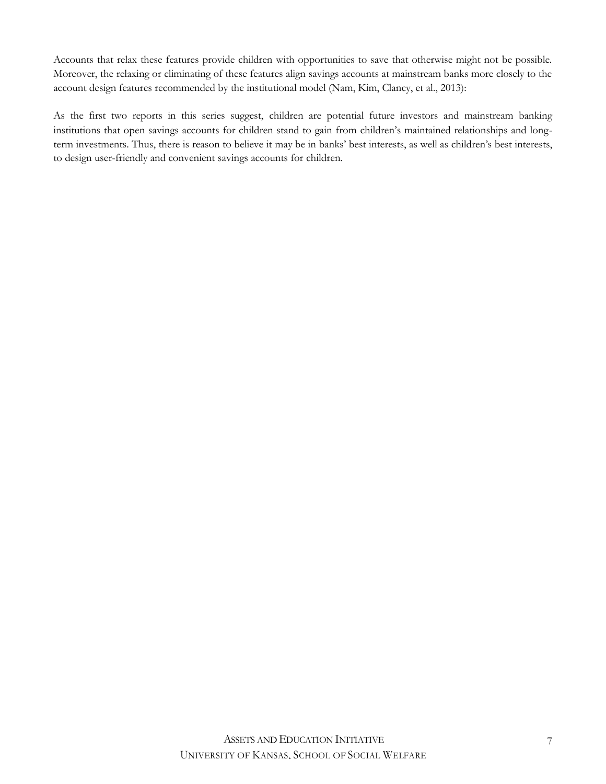Accounts that relax these features provide children with opportunities to save that otherwise might not be possible. Moreover, the relaxing or eliminating of these features align savings accounts at mainstream banks more closely to the account design features recommended by the institutional model (Nam, Kim, Clancy, et al., 2013):

As the first two reports in this series suggest, children are potential future investors and mainstream banking institutions that open savings accounts for children stand to gain from children's maintained relationships and longterm investments. Thus, there is reason to believe it may be in banks' best interests, as well as children's best interests, to design user-friendly and convenient savings accounts for children.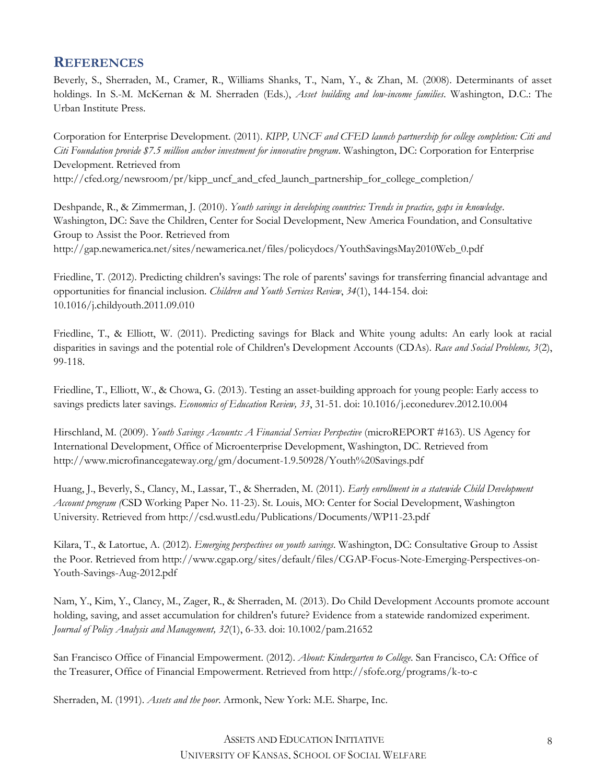#### **REFERENCES**

Beverly, S., Sherraden, M., Cramer, R., Williams Shanks, T., Nam, Y., & Zhan, M. (2008). Determinants of asset holdings. In S.-M. McKernan & M. Sherraden (Eds.), *Asset building and low-income families*. Washington, D.C.: The Urban Institute Press.

Corporation for Enterprise Development. (2011). *KIPP, UNCF and CFED launch partnership for college completion: Citi and Citi Foundation provide \$7.5 million anchor investment for innovative program*. Washington, DC: Corporation for Enterprise Development. Retrieved from http://cfed.org/newsroom/pr/kipp\_uncf\_and\_cfed\_launch\_partnership\_for\_college\_completion/

Deshpande, R., & Zimmerman, J. (2010). *Youth savings in developing countries: Trends in practice, gaps in knowledge*. Washington, DC: Save the Children, Center for Social Development, New America Foundation, and Consultative Group to Assist the Poor. Retrieved from http://gap.newamerica.net/sites/newamerica.net/files/policydocs/YouthSavingsMay2010Web\_0.pdf

Friedline, T. (2012). Predicting children's savings: The role of parents' savings for transferring financial advantage and opportunities for financial inclusion. *Children and Youth Services Review*, *34*(1), 144-154. doi: 10.1016/j.childyouth.2011.09.010

Friedline, T., & Elliott, W. (2011). Predicting savings for Black and White young adults: An early look at racial disparities in savings and the potential role of Children's Development Accounts (CDAs). *Race and Social Problems, 3*(2), 99-118.

Friedline, T., Elliott, W., & Chowa, G. (2013). Testing an asset-building approach for young people: Early access to savings predicts later savings. *Economics of Education Review, 33*, 31-51. doi: [10.1016/j.econedurev.2012.10.004](http://dx.doi.org/10.1016/j.econedurev.2012.10.004)

Hirschland, M. (2009). *Youth Savings Accounts: A Financial Services Perspective* (microREPORT #163). US Agency for International Development, Office of Microenterprise Development, Washington, DC. Retrieved from http://www.microfinancegateway.org/gm/document-1.9.50928/Youth%20Savings.pdf

Huang, J., Beverly, S., Clancy, M., Lassar, T., & Sherraden, M. (2011). *Early enrollment in a statewide Child Development Account program (*CSD Working Paper No. 11-23). St. Louis, MO: Center for Social Development, Washington University. Retrieved from http://csd.wustl.edu/Publications/Documents/WP11-23.pdf

Kilara, T., & Latortue, A. (2012). *Emerging perspectives on youth savings*. Washington, DC: Consultative Group to Assist the Poor. Retrieved from http://www.cgap.org/sites/default/files/CGAP-Focus-Note-Emerging-Perspectives-on-Youth-Savings-Aug-2012.pdf

Nam, Y., Kim, Y., Clancy, M., Zager, R., & Sherraden, M. (2013). Do Child Development Accounts promote account holding, saving, and asset accumulation for children's future? Evidence from a statewide randomized experiment. *Journal of Policy Analysis and Management, 32*(1), 6-33. doi: 10.1002/pam.21652

San Francisco Office of Financial Empowerment. (2012). *About: Kindergarten to College*. San Francisco, CA: Office of the Treasurer, Office of Financial Empowerment. Retrieved from http://sfofe.org/programs/k-to-c

Sherraden, M. (1991). *Assets and the poor*. Armonk, New York: M.E. Sharpe, Inc.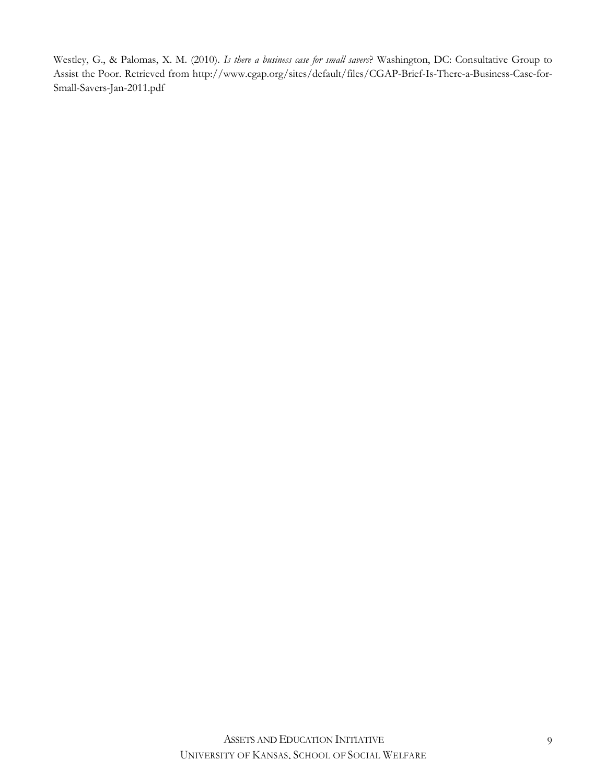Westley, G., & Palomas, X. M. (2010). *Is there a business case for small savers*? Washington, DC: Consultative Group to Assist the Poor. Retrieved from http://www.cgap.org/sites/default/files/CGAP-Brief-Is-There-a-Business-Case-for-Small-Savers-Jan-2011.pdf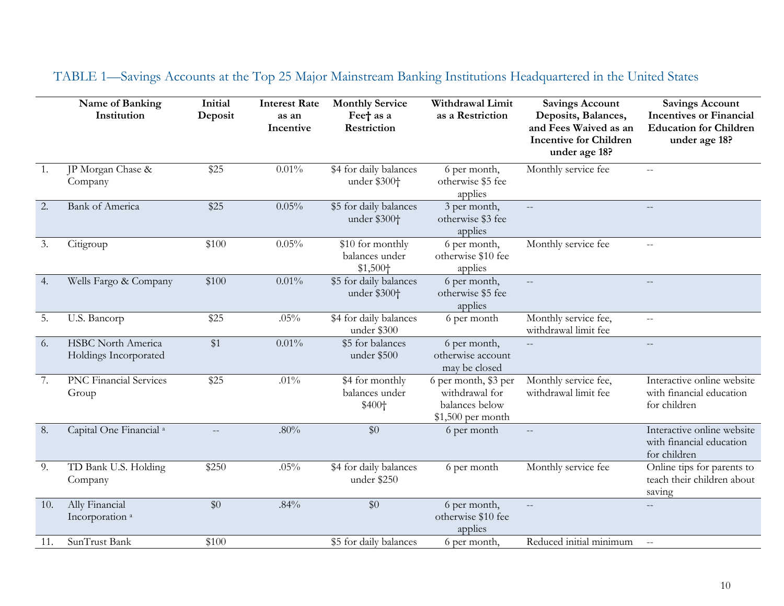|     | Name of Banking<br>Institution                     | Initial<br>Deposit | <b>Interest Rate</b><br>as an<br>Incentive | <b>Monthly Service</b><br>Feet as a<br>Restriction         | Withdrawal Limit<br>as a Restriction                                            | <b>Savings Account</b><br>Deposits, Balances,<br>and Fees Waived as an<br><b>Incentive for Children</b><br>under age 18? | <b>Savings Account</b><br><b>Incentives or Financial</b><br><b>Education for Children</b><br>under age 18? |
|-----|----------------------------------------------------|--------------------|--------------------------------------------|------------------------------------------------------------|---------------------------------------------------------------------------------|--------------------------------------------------------------------------------------------------------------------------|------------------------------------------------------------------------------------------------------------|
| 1.  | JP Morgan Chase &<br>Company                       | \$25               | 0.01%                                      | \$4 for daily balances<br>under \$300+                     | 6 per month,<br>otherwise \$5 fee<br>applies                                    | Monthly service fee                                                                                                      | $-$                                                                                                        |
| 2.  | <b>Bank of America</b>                             | \$25               | 0.05%                                      | \$5 for daily balances<br>under \$300 <sup>+</sup>         | 3 per month,<br>otherwise \$3 fee<br>applies                                    | $\overline{\phantom{a}}$                                                                                                 | $---$                                                                                                      |
| 3.  | Citigroup                                          | \$100              | 0.05%                                      | \$10 for monthly<br>balances under<br>\$1,500 <sub>†</sub> | 6 per month,<br>otherwise \$10 fee<br>applies                                   | Monthly service fee                                                                                                      | $\mathcal{L}(\mathcal{L})$                                                                                 |
| 4.  | Wells Fargo & Company                              | \$100              | $0.01\%$                                   | \$5 for daily balances<br>under \$300+                     | 6 per month,<br>otherwise \$5 fee<br>applies                                    | $-$                                                                                                                      | $\overline{\phantom{a}}$                                                                                   |
| 5.  | U.S. Bancorp                                       | \$25               | .05%                                       | \$4 for daily balances<br>under \$300                      | 6 per month                                                                     | Monthly service fee,<br>withdrawal limit fee                                                                             | $-$                                                                                                        |
| 6.  | <b>HSBC</b> North America<br>Holdings Incorporated | \$1                | $0.01\%$                                   | \$5 for balances<br>under \$500                            | 6 per month,<br>otherwise account<br>may be closed                              |                                                                                                                          | $-$                                                                                                        |
| 7.  | <b>PNC Financial Services</b><br>Group             | \$25               | $.01\%$                                    | \$4 for monthly<br>balances under<br>\$400+                | $6$ per month, \$3 per<br>withdrawal for<br>balances below<br>\$1,500 per month | Monthly service fee,<br>withdrawal limit fee                                                                             | Interactive online website<br>with financial education<br>for children                                     |
| 8.  | Capital One Financial <sup>a</sup>                 |                    | $.80\%$                                    | \$0                                                        | 6 per month                                                                     |                                                                                                                          | Interactive online website<br>with financial education<br>for children                                     |
| 9.  | TD Bank U.S. Holding<br>Company                    | \$250              | .05%                                       | \$4 for daily balances<br>under \$250                      | 6 per month                                                                     | Monthly service fee                                                                                                      | Online tips for parents to<br>teach their children about<br>saving                                         |
| 10. | Ally Financial<br>Incorporation <sup>a</sup>       | \$0                | .84%                                       | \$0                                                        | 6 per month,<br>otherwise \$10 fee<br>applies                                   | $\overline{a}$                                                                                                           | $\overline{\phantom{a}}$                                                                                   |
| 11. | SunTrust Bank                                      | \$100              |                                            | \$5 for daily balances                                     | 6 per month,                                                                    | Reduced initial minimum                                                                                                  | $\sim$                                                                                                     |

# TABLE 1—Savings Accounts at the Top 25 Major Mainstream Banking Institutions Headquartered in the United States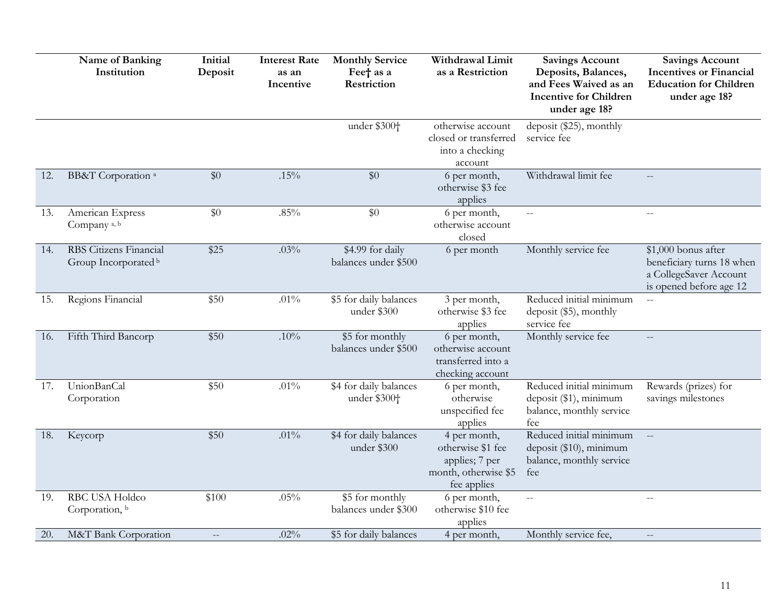|     | Name of Banking<br>Institution                 | Initial<br>Deposit | <b>Interest Rate</b><br>as an<br>Incentive | <b>Monthly Service</b><br>Feet as a<br>Restriction | Withdrawal Limit<br>as a Restriction                                                       | <b>Savings Account</b><br>Deposits, Balances,<br>and Fees Waived as an<br><b>Incentive for Children</b><br>under age 18? | <b>Savings Account</b><br><b>Incentives or Financial</b><br><b>Education for Children</b><br>under age 18? |
|-----|------------------------------------------------|--------------------|--------------------------------------------|----------------------------------------------------|--------------------------------------------------------------------------------------------|--------------------------------------------------------------------------------------------------------------------------|------------------------------------------------------------------------------------------------------------|
|     |                                                |                    |                                            | under \$300+                                       | otherwise account<br>closed or transferred<br>into a checking<br>account                   | deposit (\$25), monthly<br>service fee                                                                                   |                                                                                                            |
| 12. | BB&T Corporation <sup>a</sup>                  | \$0                | .15%                                       | \$0                                                | 6 per month,<br>otherwise \$3 fee<br>applies                                               | Withdrawal limit fee                                                                                                     |                                                                                                            |
| 13. | American Express<br>Company <sup>a, b</sup>    | \$0                | $.85\%$                                    | \$0                                                | 6 per month,<br>otherwise account<br>closed                                                |                                                                                                                          | $\overline{a}$                                                                                             |
| 14. | RBS Citizens Financial<br>Group Incorporated b | \$25               | .03%                                       | \$4.99 for daily<br>balances under \$500           | 6 per month                                                                                | Monthly service fee                                                                                                      | \$1,000 bonus after<br>beneficiary turns 18 when<br>a CollegeSaver Account<br>is opened before age 12      |
| 15. | Regions Financial                              | \$50               | $.01\%$                                    | \$5 for daily balances<br>under \$300              | 3 per month,<br>otherwise \$3 fee<br>applies                                               | Reduced initial minimum<br>deposit (\$5), monthly<br>service fee                                                         | $\overline{a}$                                                                                             |
| 16. | Fifth Third Bancorp                            | \$50               | .10%                                       | \$5 for monthly<br>balances under \$500            | 6 per month,<br>otherwise account<br>transferred into a<br>checking account                | Monthly service fee                                                                                                      | $\overline{a}$                                                                                             |
| 17. | UnionBanCal<br>Corporation                     | \$50               | .01%                                       | \$4 for daily balances<br>under \$300 <sup>+</sup> | 6 per month,<br>otherwise<br>unspecified fee<br>applies                                    | Reduced initial minimum<br>deposit (\$1), minimum<br>balance, monthly service<br>fee                                     | Rewards (prizes) for<br>savings milestones                                                                 |
| 18. | Keycorp                                        | \$50               | .01%                                       | \$4 for daily balances<br>under \$300              | 4 per month,<br>otherwise \$1 fee<br>applies; 7 per<br>month, otherwise \$5<br>fee applies | Reduced initial minimum<br>deposit (\$10), minimum<br>balance, monthly service<br>fee                                    | $\perp$ .                                                                                                  |
| 19. | RBC USA Holdco<br>Corporation, b               | \$100              | .05%                                       | \$5 for monthly<br>balances under \$300            | 6 per month,<br>otherwise \$10 fee<br>applies                                              | $\overline{a}$                                                                                                           | $\equiv$                                                                                                   |
| 20. | M&T Bank Corporation                           |                    | .02%                                       | \$5 for daily balances                             | 4 per month,                                                                               | Monthly service fee,                                                                                                     |                                                                                                            |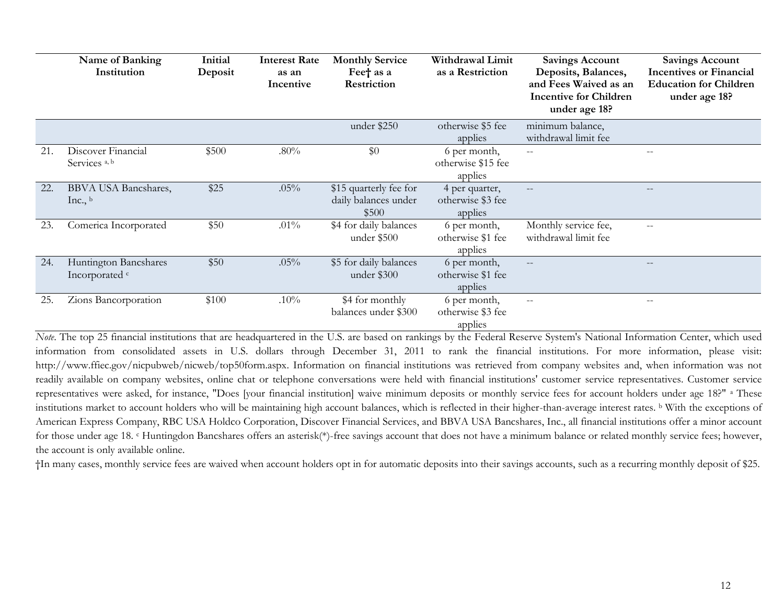|     | Name of Banking<br>Institution                     | Initial<br>Deposit | <b>Interest Rate</b><br>as an<br>Incentive | <b>Monthly Service</b><br>Feet as a<br>Restriction      | Withdrawal Limit<br>as a Restriction           | <b>Savings Account</b><br>Deposits, Balances,<br>and Fees Waived as an<br><b>Incentive for Children</b><br>under age 18? | <b>Savings Account</b><br><b>Incentives or Financial</b><br><b>Education for Children</b><br>under age 18? |
|-----|----------------------------------------------------|--------------------|--------------------------------------------|---------------------------------------------------------|------------------------------------------------|--------------------------------------------------------------------------------------------------------------------------|------------------------------------------------------------------------------------------------------------|
|     |                                                    |                    |                                            | under \$250                                             | otherwise \$5 fee<br>applies                   | minimum balance,<br>withdrawal limit fee                                                                                 |                                                                                                            |
| 21. | Discover Financial<br>Services <sup>a, b</sup>     | \$500              | .80%                                       | \$0                                                     | 6 per month,<br>otherwise \$15 fee<br>applies  | $-$                                                                                                                      |                                                                                                            |
| 22. | <b>BBVA USA Bancshares,</b><br>Inc., $\frac{b}{ }$ | \$25               | .05%                                       | \$15 quarterly fee for<br>daily balances under<br>\$500 | 4 per quarter,<br>otherwise \$3 fee<br>applies |                                                                                                                          |                                                                                                            |
| 23. | Comerica Incorporated                              | \$50               | $.01\%$                                    | \$4 for daily balances<br>under \$500                   | 6 per month,<br>otherwise \$1 fee<br>applies   | Monthly service fee,<br>withdrawal limit fee                                                                             | $- -$                                                                                                      |
| 24. | Huntington Bancshares<br>Incorporated <sup>c</sup> | \$50               | .05%                                       | \$5 for daily balances<br>under \$300                   | 6 per month,<br>otherwise \$1 fee<br>applies   | $-$                                                                                                                      |                                                                                                            |
| 25. | Zions Bancorporation                               | \$100              | .10%                                       | \$4 for monthly<br>balances under \$300                 | 6 per month,<br>otherwise \$3 fee<br>applies   | $\qquad \qquad -$                                                                                                        | $- -$                                                                                                      |

*Note*. The top 25 financial institutions that are headquartered in the U.S. are based on rankings by the Federal Reserve System's National Information Center, which used information from consolidated assets in U.S. dollars through December 31, 2011 to rank the financial institutions. For more information, please visit: [http://www.ffiec.gov/nicpubweb/nicweb/top50form.aspx.](http://www.ffiec.gov/nicpubweb/nicweb/top50form.aspx) Information on financial institutions was retrieved from company websites and, when information was not readily available on company websites, online chat or telephone conversations were held with financial institutions' customer service representatives. Customer service representatives were asked, for instance, "Does [your financial institution] waive minimum deposits or monthly service fees for account holders under age 18?" <sup>a</sup> These institutions market to account holders who will be maintaining high account balances, which is reflected in their higher-than-average interest rates. <sup>b</sup> With the exceptions of American Express Company, RBC USA Holdco Corporation, Discover Financial Services, and BBVA USA Bancshares, Inc., all financial institutions offer a minor account for those under age 18. <sup>c</sup> Huntingdon Bancshares offers an asterisk(\*)-free savings account that does not have a minimum balance or related monthly service fees; however, the account is only available online.

†In many cases, monthly service fees are waived when account holders opt in for automatic deposits into their savings accounts, such as a recurring monthly deposit of \$25.